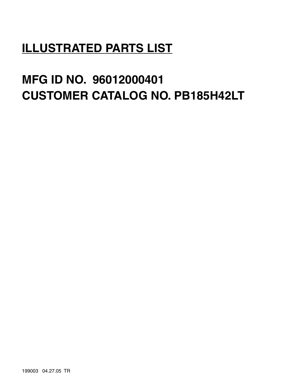# **ILLUSTRATED PARTS LIST**

# **MFG ID NO. 96012000401 CUSTOMER CATALOG NO. PB185H42LT**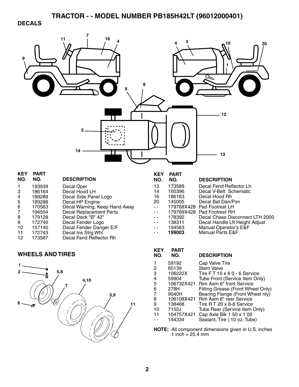### **DECALS**



**NOTE:** All component dimensions given in U.S. inches 1 inch =  $25.4 \, \text{mm}$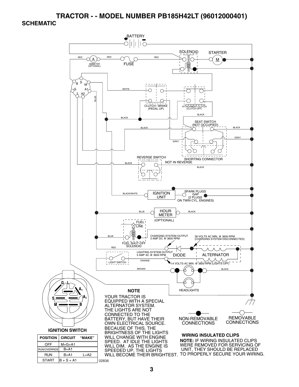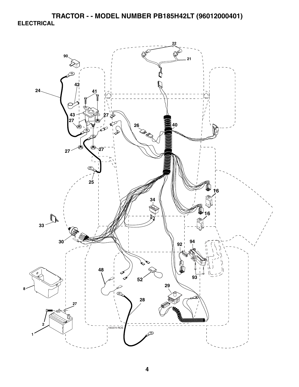**TRACTOR - - MODEL NUMBER PB185H42LT (96012000401) ELECTRICAL** 

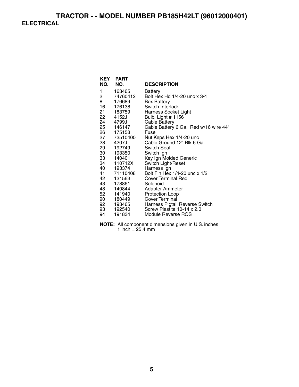## **TRACTOR - - MODEL NUMBER PB185H42LT (96012000401) ELECTRICAL**

| <b>KEY</b> | <b>PART</b> |                                       |
|------------|-------------|---------------------------------------|
| NO.        | NO.         | <b>DESCRIPTION</b>                    |
| 1          | 163465      | Battery                               |
| 2          | 74760412    | Bolt Hex Hd 1/4-20 unc x 3/4          |
| 8          | 176689      | <b>Box Battery</b>                    |
| 16         | 176138      | Switch Interlock                      |
|            | 21 183759   | Harness Socket Light                  |
|            | 22 4152J    | Bulb, Light # 1156                    |
|            | 24 4799J    | <b>Cable Battery</b>                  |
|            | 25 146147   | Cable Battery 6 Ga. Red w/16 wire 44" |
|            | 26 175158   | Fuse                                  |
|            | 27 73510400 | Nut Keps Hex 1/4-20 unc               |
|            | 28 4207J    | Cable Ground 12" Blk 6 Ga.            |
|            | 29 192749   | <b>Switch Seat</b>                    |
|            | 30 193350   | Switch Ign                            |
|            | 33 140401   | Key Ign Molded Generic                |
|            | 34 110712X  | Switch Light/Reset                    |
|            | 40 193374   | Harness Ign                           |
|            | 41 71110408 | Bolt Fin Hex 1/4-20 unc x 1/2         |
| 42         | 131563      | <b>Cover Terminal Red</b>             |
| 43 —       | 178861      | Solenoid                              |
|            | 48 140844   | Adapter Ammeter                       |
| 52         | 141940      | Protection Loop                       |
|            | 90 180449   | Cover Terminal                        |
|            | 92 193465   | Harness Pigtail Reverse Switch        |
| 93 —       | 192540      | Screw Plastite 10-14 x 2.0            |
| 94         | 191834      | Module Reverse ROS                    |

**NOTE:** All component dimensions given in U.S. inches 1 inch  $= 25.4$  mm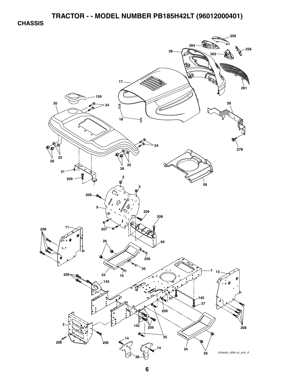**CHASSIS** 

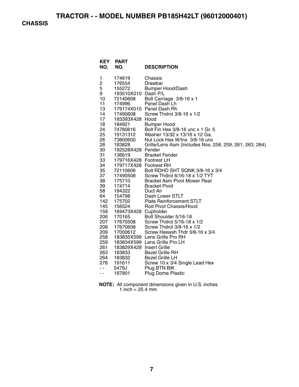**CHASSIS** 

| <b>KEY</b><br>NO. | <b>PART</b><br>NO.               | <b>DESCRIPTION</b>                                      |
|-------------------|----------------------------------|---------------------------------------------------------|
| 1                 | 174619                           | Chassis                                                 |
| 2                 | 176554                           | Drawbar                                                 |
| 5                 | 155272                           | <b>Bumper Hood/Dash</b>                                 |
| 9                 | 193510X010 Dash P/L              |                                                         |
| 10                | 72140608                         | Bolt Carriage 3/8-16 x 1                                |
| 11                | 174996                           | Panel Dash Lh                                           |
| 13                |                                  | 179174X010 Panel Dash Rh                                |
| 14                | 17490608                         | Screw Thdrol 3/8-16 x 1/2                               |
| 17                | 183393X428 Hood                  |                                                         |
| 18                | 184921                           | <b>Bumper Hood</b>                                      |
| 24                | 74780616<br><sup>1</sup> 9131312 | Bolt Fin Hex 3/8-16 unc x 1 Gr. 5                       |
| 25                | 19131312                         | Washer 13/32 x 13/16 x 12 Ga.                           |
| 26                | 73800600                         | Nut Lock Hex W/Ins 3/8-16 unc                           |
| 28                | 183828                           | Grille/Lens Asm (Includes Nos. 258, 259, 261, 263, 264) |
| 30                | 192528X428 Fender                |                                                         |
| 31                | 136619                           | <b>Bracket Fender</b>                                   |
| 33                | 179716X428 Footrest LH           |                                                         |
| 34                | 179717X428 Footrest RH           |                                                         |
| 35                | 72110606                         | Bolt RDHD SHT SQNK 3/8-16 x 3/4                         |
| 37                | 17490508                         | Screw Thdrol 6/16-18 x 1/2 TYT                          |
| 38                | 175710                           | <b>Bracket Asm Pivot Mower Rear</b>                     |
| 39                | 174714                           | <b>Bracket Pivot</b>                                    |
| 58<br>64          | 184322<br>154798                 | Duct Air<br>Dash Lower STLT                             |
| 142               | 175702                           | <b>Plate Reinforcement STLT</b>                         |
| 145               | 156524                           | Rod Pivot Chassis/Hood                                  |
| 159               | 169473X428 Cupholder             |                                                         |
| 206               | 170165                           | Bolt Shoulder 5/16-18                                   |
| 207               | 17670508                         | Screw Thdrol 5/16-18 x 1/2                              |
| 208               | 17670608                         | Screw Thdrol 3/8-16 x 1/2                               |
| 209               | 17000612                         | Screw Hexwsh Thdr 3/8-16 x 3/4                          |
| 258               |                                  | 183835X599 Lens Grille Pro RH                           |
| 259               |                                  | 183834X599 Lens Grille Pro LH                           |
| 261               | 183829X428 Insert Grille         |                                                         |
| 263               | 183833                           | <b>Bezel Grille RH</b>                                  |
| 264               | 183832                           | <b>Bezel Grille LH</b>                                  |
| 278               | 191611                           | Screw 10 x 3/4 Single Lead Hex                          |
| - -               | 5479J                            | Plug BTN BIK                                            |
| - -               | 187801                           | <b>Plug Dome Plastic</b>                                |
|                   |                                  |                                                         |

**NOTE:** All component dimensions given in U.S. inches 1 inch = 25.4 mm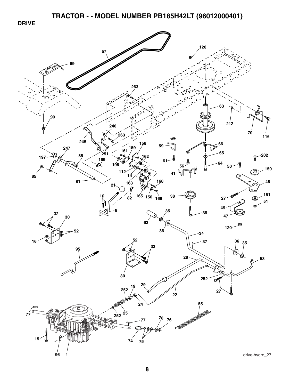**DRIVE** 

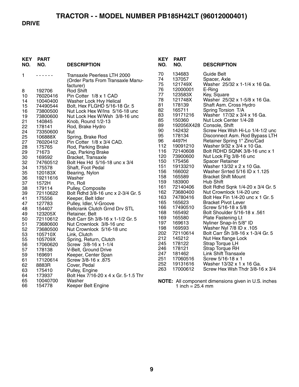#### **DRIVE**

| <b>KEY</b><br>NO. | <b>PART</b><br>NO. | <b>DESCRIPTION</b>                                                            |
|-------------------|--------------------|-------------------------------------------------------------------------------|
| 1                 |                    | Transaxle Peerless LTH 2000<br>(Order Parts From Transaxle Manu-<br>facturer) |
| 8                 | 192706             | <b>Rod Shift</b>                                                              |
| 10                | 76020416           | Pin Cotter 1/8 x 1 CAD                                                        |
| 14                | 10040400           | Washer Lock Hvy Helical                                                       |
| 15                | 74490544           | Bolt, Hex FLGHD 5/16-18 Gr. 5                                                 |
| 16                | 73800500           | Nut Lock Hex W/Ins 5/16-18 unc                                                |
| 19                | 73800600           | Nut Lock Hex W/Wsh 3/8-16 unc                                                 |
| 21                | 140845             | Knob, Round 1/2-13                                                            |
| 22                | 178141             | Rod, Brake Hydro                                                              |
| 24                | 73350600           | Nut                                                                           |
| 25                | 106888X            | Spring, Brake Rod                                                             |
| 27                | 76020412           | Pin Cotter 1/8 x 3/4 CAD.                                                     |
| 28                | 175765             | Rod, Parking Brake                                                            |
| 29                | 71673              | Cap, Parking Brake                                                            |
| 30                | 169592             | Bracket, Transaxle                                                            |
| 32                | 74760512           | Bolt Hex Hd 5/16-18 unc x 3/4                                                 |
| 34                | 175578             | Shaft, Foot Pedal                                                             |
| 35                | 120183X            | Bearing, Nylon                                                                |
| 36<br>37          | 19211616<br>1572H  | Washer<br>Pin, Roll                                                           |
| 38                | 179114             | Pulley, Composite                                                             |
| 39                | 72110622           | Bolt Rdhd 3/8-16 unc x 2-3/4 Gr. 5                                            |
| 41                | 175556             | Keeper, Belt Idler                                                            |
| 47                | 127783             | Pulley, Idler, V-Groove                                                       |
| 48                | 154407             | <b>Bellcrank Clutch Grnd Drv STL</b>                                          |
| 49                | 123205X            | Retainer, Belt                                                                |
| 50                | 72110612           | Bolt Carr Sh 3/8-16 x 1-1/2 Gr. 5                                             |
| 51                | 73680600           | Nut Crownlock 3/8-16 unc                                                      |
| 52                | 73680500           | Nut Crownlock 5/16-18 unc                                                     |
| 53                | 105710X            | Link, Clutch                                                                  |
| 55                | 105709X            | Spring, Return, Clutch                                                        |
| 56                | 17060620           | Screw 3/8-16 x 1-1/4                                                          |
| 57                | 178138             | V-Belt, Ground Drive                                                          |
| 59                | 169691             | Keeper, Center Span                                                           |
| 61                | 17120614           | Screw 3/8-16 x .875                                                           |
| 62                | 8883R              | Cover, Pedal                                                                  |
| 63                | 175410             | Pulley, Engine                                                                |
| 64<br>65          | 173937             | Bolt Hex 7/16-20 x 4 x Gr. 5-1.5 Thr                                          |
| 66                | 10040700<br>154778 | Washer<br>Keeper Belt Engine                                                  |
|                   |                    |                                                                               |

| KEY<br>NO. | PART<br>NO. | <b>DESCRIPTION</b>                |
|------------|-------------|-----------------------------------|
| 70         | 134683      | Guide Belt                        |
| 74         | 137057      | Spacer, Axle                      |
| 75         | 121749X     | Washer 25/32 x 1-1/4 x 16 Ga.     |
| 76         | 12000001    | E-Ring                            |
| 77         | 123583X     | Key, Square                       |
| 78         | 121748X     | Washer 25/32 x 1-5/8 x 16 Ga.     |
| 81         | 178139      | Shaft Asm. Cross Hydro            |
| 82         | 165711      | Spring Torsion T/A                |
| 83         | 19171216    | Washer 17/32 x 3/4 x 16 Ga.       |
| 85         | 150360      | Nut Lock Center 1/4-28            |
| 89         | 192056X428  | Console, Shift                    |
| 90         | 142432      | Screw Hex Wsh Hi-Lo 1/4-1/2 unc   |
| 95         | 178134      | Disconnect Asm. Rod Bypass LTH    |
| 96         | 4497H       | Retainer Spring 1" Zinc/Cad       |
| 112        | 19091210    | Washer 9/32 x 3/4 x 10 Ga.        |
| 116        | 72140608    | Bolt RDHD SQNK 3/8-16 unc x 1     |
| 120        | 73900600    | Nut Lock Flg 3/8-16 unc           |
| 150        | 175456      | <b>Spacer Retainer</b>            |
| 151        | 19133210    | Washer 13/32 x 2 x 10 Ga.         |
| 156        | 166002      | Washer Srrted 5/16 ID x 1.125     |
| 158        | 165589      | <b>Bracket Shift Mount</b>        |
| 159        | 183900      | Hub Shift                         |
| 161        | 72140406    | Bolt Rdhd Sqnk 1/4-20 x 3/4 Gr. 5 |
| 162        | 73680400    | Nut Crownlock 1/4-20 unc          |
| 163        | 74780416    | Bolt Hex Fin 1/4-20 unc x 1 Gr. 5 |
| 165        | 165623      | <b>Bracket Pivot Lever</b>        |
| 166        | 17490510    | Screw 5/16-18 x 5/8               |
| 168        | 165492      | Bolt Shoulder 5/16-18 x .561      |
| 169        | 165580      | <b>Plate Fastening Lt</b>         |
| 197        | 169613      | Nyliner Snap-In 5/8" ID           |
| 198        | 169593      | Washer Nyl 7/8 ID x .105          |
| 202        | 72110614    | Bolt Carr Sh 3/8-16 x 1-3/4 Gr. 5 |
| 212        | 145212      | Nut Hex flange Lock               |
| 245        | 178122      | <b>Strap Torque LH</b>            |
| 246        | 178121      | <b>Strap Torque RH</b>            |
| 247        | 181462      | Link Shift Transaxle              |
| 251        | 17060516    | Screw 5/16-18 x 1                 |
| 252        | 19131616    | Washer 13/32 x 1 x 16 Ga.         |
| 263        | 17000612    | Screw Hex Wsh Thdr 3/8-16 x 3/4   |

**NOTE:** All component dimensions given in U.S. inches 1 inch = 25.4 mm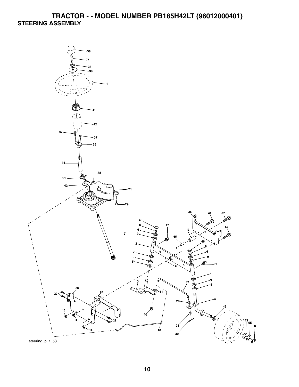# **TRACTOR - - MODEL NUMBER PB185H42LT (96012000401) STEERING ASSEMBLY**

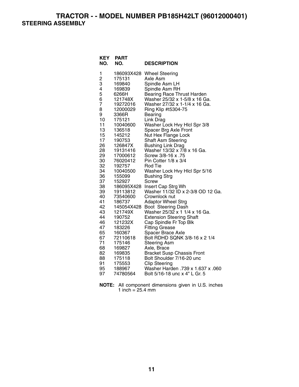**TRACTOR - - MODEL NUMBER PB185H42LT (96012000401) STEERING ASSEMBLY** 

| 1<br>186093X428<br><b>Wheel Steering</b><br>2<br>З<br>175131<br>Axle Asm<br>Spindle Asm LH<br>169840<br>4<br>Spindle Asm RH<br>169839<br>5<br>6266H<br><b>Bearing Race Thrust Harden</b><br>6<br>Washer 25/32 x 1-5/8 x 16 Ga.<br>121748X<br>$\overline{7}$<br>Washer 27/32 x 1-1/4 x 16 Ga.<br>19272016<br>8<br>12000029<br>Ring Klip #t5304-75<br>9<br>3366R<br>Bearing<br>10<br>175121<br>Link Drag<br>11<br>Washer Lock Hvy Hlcl Spr 3/8<br>10040600 |
|----------------------------------------------------------------------------------------------------------------------------------------------------------------------------------------------------------------------------------------------------------------------------------------------------------------------------------------------------------------------------------------------------------------------------------------------------------|
|                                                                                                                                                                                                                                                                                                                                                                                                                                                          |
|                                                                                                                                                                                                                                                                                                                                                                                                                                                          |
|                                                                                                                                                                                                                                                                                                                                                                                                                                                          |
|                                                                                                                                                                                                                                                                                                                                                                                                                                                          |
|                                                                                                                                                                                                                                                                                                                                                                                                                                                          |
|                                                                                                                                                                                                                                                                                                                                                                                                                                                          |
|                                                                                                                                                                                                                                                                                                                                                                                                                                                          |
|                                                                                                                                                                                                                                                                                                                                                                                                                                                          |
|                                                                                                                                                                                                                                                                                                                                                                                                                                                          |
|                                                                                                                                                                                                                                                                                                                                                                                                                                                          |
|                                                                                                                                                                                                                                                                                                                                                                                                                                                          |
| 13<br>Spacer Brg Axle Front<br>136518                                                                                                                                                                                                                                                                                                                                                                                                                    |
| 15<br>Nut Hex Flange Lock<br>145212<br>17                                                                                                                                                                                                                                                                                                                                                                                                                |
| Shaft Asm Steering<br>190753<br>26<br>126847X                                                                                                                                                                                                                                                                                                                                                                                                            |
| <b>Bushing Link Drag</b><br>28<br>Washer 13/32 x 7/8 x 16 Ga.<br>19131416                                                                                                                                                                                                                                                                                                                                                                                |
| 29<br>Screw 3/8-16 x .75<br>17000612                                                                                                                                                                                                                                                                                                                                                                                                                     |
| 30<br>76020412<br>Pin Cotter 1/8 x 3/4                                                                                                                                                                                                                                                                                                                                                                                                                   |
| 32<br>192757<br>Rod Tie                                                                                                                                                                                                                                                                                                                                                                                                                                  |
| 34<br>Washer Lock Hvy Hlcl Spr 5/16<br>10040500                                                                                                                                                                                                                                                                                                                                                                                                          |
| 36<br>155099<br><b>Bushing Strg</b>                                                                                                                                                                                                                                                                                                                                                                                                                      |
| 37<br>152927<br>Screw                                                                                                                                                                                                                                                                                                                                                                                                                                    |
| 38<br>Insert Cap Strg Wh<br>186095X428                                                                                                                                                                                                                                                                                                                                                                                                                   |
| Washer 11/32 ID x 2-3/8 OD 12 Ga.<br>39<br>19113812                                                                                                                                                                                                                                                                                                                                                                                                      |
| 40<br>73540600<br>Crownlock nut                                                                                                                                                                                                                                                                                                                                                                                                                          |
| 41<br><b>Adaptor Wheel Strg</b><br>186737                                                                                                                                                                                                                                                                                                                                                                                                                |
| 42<br>145054X428<br>Boot Steering Dash                                                                                                                                                                                                                                                                                                                                                                                                                   |
| 43<br>Washer 25/32 x 1 1/4 x 16 Ga.<br>121749X                                                                                                                                                                                                                                                                                                                                                                                                           |
| 44<br>190752<br><b>Extension Steering Shaft</b>                                                                                                                                                                                                                                                                                                                                                                                                          |
| 46<br>121232X<br>Cap Spindle Fr Top Blk                                                                                                                                                                                                                                                                                                                                                                                                                  |
| 47<br>183226<br><b>Fitting Grease</b>                                                                                                                                                                                                                                                                                                                                                                                                                    |
| 65<br>160367<br>Spacer Brace Axle                                                                                                                                                                                                                                                                                                                                                                                                                        |
| 67<br>Bolt RDHD SQNK 3/8-16 x 2 1/4<br>72110618                                                                                                                                                                                                                                                                                                                                                                                                          |
| 71<br>175146<br><b>Steering Asm</b>                                                                                                                                                                                                                                                                                                                                                                                                                      |
| 68<br>169827<br>Axle, Brace                                                                                                                                                                                                                                                                                                                                                                                                                              |
| 82<br>169835<br><b>Bracket Susp Chassis Front</b><br>88<br>175118<br>Bolt Shoulder 7/16-20 unc                                                                                                                                                                                                                                                                                                                                                           |
| 91<br>175553<br><b>Clip Steering</b>                                                                                                                                                                                                                                                                                                                                                                                                                     |
| 95<br>Washer Harden .739 x 1.637 x .060<br>188967                                                                                                                                                                                                                                                                                                                                                                                                        |
| Bolt 5/16-18 unc x 4" L Gr. 5<br>97<br>74780564                                                                                                                                                                                                                                                                                                                                                                                                          |

| <b>NOTE:</b> All component dimensions given in U.S. inches |  |  |
|------------------------------------------------------------|--|--|
| 1 inch = $25.4 \text{ mm}$                                 |  |  |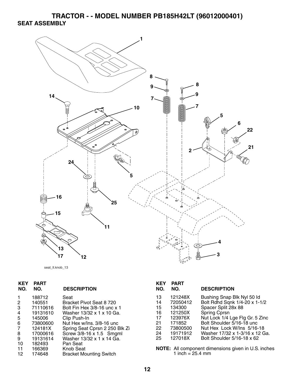**TRACTOR - - MODEL NUMBER PB185H42LT (96012000401) SEAT ASSEMBLY** 

![](_page_11_Figure_1.jpeg)

```
seat_lt.knob_13
```

| 13 | 121248X  | Bushing Snap Blk Nyl 50 ld                          |
|----|----------|-----------------------------------------------------|
| 14 | 72050412 | Bolt Rdhd Sqnk 1/4-20 x 1-1/2                       |
| 15 | 134300   | Spacer Split 28x 88                                 |
| 16 | 121250X  | Spring Cprsn                                        |
| 17 | 123976X  | Nut Lock 1/4 Lge Flg Gr. 5 Zinc                     |
| 21 | 171852   | Bolt Shoulder 5/16-18 unc                           |
| 22 | 73800500 | Nut Hex Lock W/Ins 5/16-18                          |
| 24 | 19171912 | Washer 17/32 x 1-3/16 x 12 Ga.                      |
| 25 | 127018X  | Bolt Shoulder 5/16-18 x 62                          |
|    |          |                                                     |
|    |          | NOTE: All component dimensions given in U.S. inches |
|    |          |                                                     |
|    |          | 1 inch = $25.4$ mm                                  |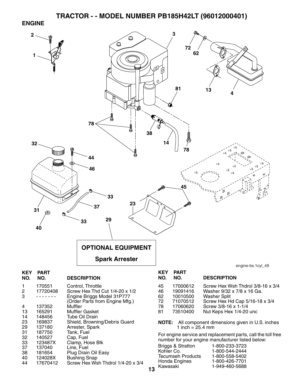#### **ENGINE**

![](_page_12_Figure_2.jpeg)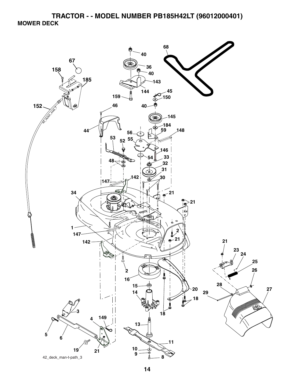**TRACTOR - - MODEL NUMBER PB185H42LT (96012000401) MOWER DECK** 

![](_page_13_Picture_1.jpeg)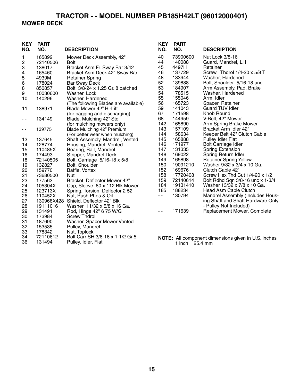# **TRACTOR - - MODEL NUMBER PB185H42LT (96012000401) MOWER DECK**

| <b>KEY</b><br>NO. | <b>PART</b><br>NO. | <b>DESCRIPTION</b>                   | <b>KEY</b><br>NO. | <b>PART</b><br>NO. | <b>DESCRIPTION</b>                                         |
|-------------------|--------------------|--------------------------------------|-------------------|--------------------|------------------------------------------------------------|
| 1                 | 165892             | Mower Deck Assembly, 42"             | 40                | 73900600           | Nut Lock 3/8-16                                            |
| $\sqrt{2}$        | 72140506           | <b>Bolt</b>                          | 44                | 140088             | Guard, Mandrel, LH                                         |
| 3                 | 138017             | Bracket Asm Fr. Sway Bar 3/42        | 45                | 4497H              | Retainer                                                   |
| 4                 | 165460             | Bracket Asm Deck 42" Sway Bar        | 46                | 137729             | Screw, Thdrol 1/4-20 x 5/8 T                               |
| 5                 | 4939M              | <b>Retainer Spring</b>               | 48                | 133944             | Washer, Hardened                                           |
| 6                 | 178024             | <b>Bar Sway Deck</b>                 | 52                | 139888             | Bolt, Shoulder 5/16-18 unc                                 |
| $\,8\,$           | 850857             | Bolt 3/8-24 x 1.25 Gr. 8 patched     | 53                | 184907             | Arm Assembly, Pad, Brake                                   |
| 9                 | 10030600           | Washer, Lock                         | 54                | 178515             | Washer, Hardened                                           |
| 10                | 140296             | Washer, Hardened                     | 55                | 155046             | Arm, Idler                                                 |
|                   |                    | (The following Blades are available) | 56                | 165723             | Spacer, Retainer                                           |
| 11                | 138971             | Blade Mower 42" Hi-Lift              | 59                | 141043             | <b>Guard TUV Idler</b>                                     |
|                   |                    | (for bagging and discharging)        | 67                | 171598             | Knob Round                                                 |
| - -               | 134149             | Blade, Mulching 42" Std              | 68                | 144959             | V-Belt, 42" Mower                                          |
|                   |                    | (for mulching mowers only)           | 142               | 165890             | Arm Spring Brake Mower                                     |
| $ -$              | 139775             | Blade Mulching 42" Premium           | 143               | 157109             | Bracket Arm Idler 42"                                      |
|                   |                    | (For better wear when mulching)      | 144               | 158634             | Keeper Belt 42" Clutch Cable                               |
| 13                | 137645             | Shaft Assembly, Mandrel, Vented      | 145               | 165888             | <b>Pulley Idler Flat</b>                                   |
| 14                | 128774             | Housing, Mandrel, Vented             | 146               | 171977             | <b>Bolt Carriage Idler</b>                                 |
| 15                | 110485X            | Bearing, Ball, Mandrel               | 147               | 131335             | <b>Spring Extension</b>                                    |
| 16                | 174493             | Stripper, Mandrel Deck               | 148               | 169022             | Spring Return Idler                                        |
| 18                | 72140505           | Bolt, Carriage 5/16-18 x 5/8         | 149               | 165898             | <b>Retainer Spring Yellow</b>                              |
| 19                | 132827             | Bolt, Shoulder                       | 150               | 19091210           | Washer 9/32 x 3/4 x 10 Ga.                                 |
| 20                | 159770             | Baffle, Vortex                       | 152               | 169676             | Clutch Cable 42"                                           |
| 21                | 73680500           | Nut                                  | 158               | 17720408           | Screw Hex Thd Cut 1/4-20 x 1/2                             |
| 23                | 177563             | Bracket, Deflector Mower 42"         | 159               | 72140614           | Bolt Rdhd Sqn 3/8-16 unc x 1-3/4                           |
| 24                | 105304X            | Cap, Sleeve 80 x 112 Blk Mower       | 184               | 19131410           | Washer 13/32 x 7/8 x 10 Ga.                                |
| 25                | 123713X            | Spring, Torsion, Deflector 2 52      | 185               | 188234             | Head Asm Cable Clutch                                      |
| 26                | 110452X            | Nut, Push Phos & Oil                 | - -               | 130794             | Mandrel Assembly (Includes Hous-                           |
| 27                |                    | 130968X428 Shield, Deflector 42" Blk |                   |                    | ing Shaft and Shaft Hardware Only                          |
| 28                | 19111016           | Washer 11/32 x 5/8 x 16 Ga.          |                   |                    | - Pulley Not Included)                                     |
| 29                | 131491             | Rod, Hinge 42" 6 75 W/G              | $\sim$ $\sim$     | 171639             | Replacement Mower, Complete                                |
| 30                | 173984             | <b>Screw Thdrol</b>                  |                   |                    |                                                            |
| 31                | 187690             | Washer, Spacer Mower Vented          |                   |                    |                                                            |
| 32                | 153535             | Pulley, Mandrel                      |                   |                    |                                                            |
| 33                | 178342             | Nut, Toplock                         |                   |                    |                                                            |
| 34                | 72110612           | Bolt Carr SH 3/8-16 x 1-1/2 Gr.5     |                   |                    | <b>NOTE:</b> All component dimensions given in U.S. inches |

36 131494 Pulley, Idler, Flat

1 inch = 25.4 mm